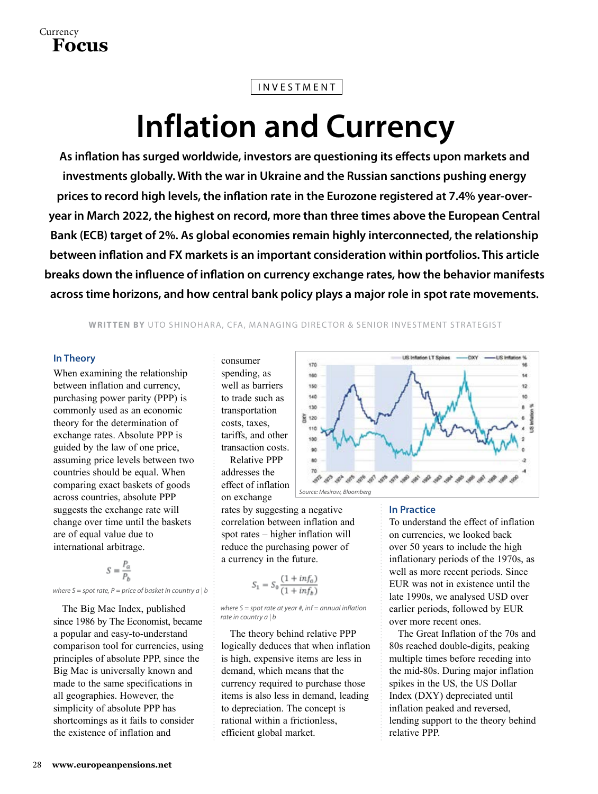## INVESTMENT

# **Inflation and Currency**

**As inflation has surged worldwide, investors are questioning its effects upon markets and investments globally. With the war in Ukraine and the Russian sanctions pushing energy prices to record high levels, the inflation rate in the Eurozone registered at 7.4% year-overyear in March 2022, the highest on record, more than three times above the European Central Bank (ECB) target of 2%. As global economies remain highly interconnected, the relationship between inflation and FX markets is an important consideration within portfolios. This article breaks down the influence of inflation on currency exchange rates, how the behavior manifests across time horizons, and how central bank policy plays a major role in spot rate movements.**

**WRITTEN BY** UTO SHINOHARA, CFA, MANAGING DIRECTOR & SENIOR INVESTMENT STRATEGIST

### **In Theory**

When examining the relationship between inflation and currency, purchasing power parity (PPP) is commonly used as an economic theory for the determination of exchange rates. Absolute PPP is guided by the law of one price, assuming price levels between two countries should be equal. When comparing exact baskets of goods across countries, absolute PPP suggests the exchange rate will change over time until the baskets are of equal value due to international arbitrage.

$$
S = \frac{P_a}{P_b}
$$

*where S = spot rate, P = price of basket in country a | b*

The Big Mac Index, published since 1986 by The Economist, became a popular and easy-to-understand comparison tool for currencies, using principles of absolute PPP, since the Big Mac is universally known and made to the same specifications in all geographies. However, the simplicity of absolute PPP has shortcomings as it fails to consider the existence of inflation and

consumer spending, as well as barriers to trade such as transportation costs, taxes, tariffs, and other transaction costs. Relative PPP addresses the effect of inflation on exchange

rates by suggesting a negative correlation between inflation and spot rates – higher inflation will reduce the purchasing power of a currency in the future.

$$
S_1 = S_0 \frac{(1 + inf_a)}{(1 + inf_b)}
$$

*where S = spot rate at year #, inf = annual inflation rate in country a | b*

The theory behind relative PPP logically deduces that when inflation is high, expensive items are less in demand, which means that the currency required to purchase those items is also less in demand, leading to depreciation. The concept is rational within a frictionless, efficient global market.



#### **In Practice**

To understand the effect of inflation on currencies, we looked back over 50 years to include the high inflationary periods of the 1970s, as well as more recent periods. Since EUR was not in existence until the late 1990s, we analysed USD over earlier periods, followed by EUR over more recent ones.

The Great Inflation of the 70s and 80s reached double-digits, peaking multiple times before receding into the mid-80s. During major inflation spikes in the US, the US Dollar Index (DXY) depreciated until inflation peaked and reversed, lending support to the theory behind relative PPP.

$$
\overset{\text{Current}}{\text{Focus}}
$$